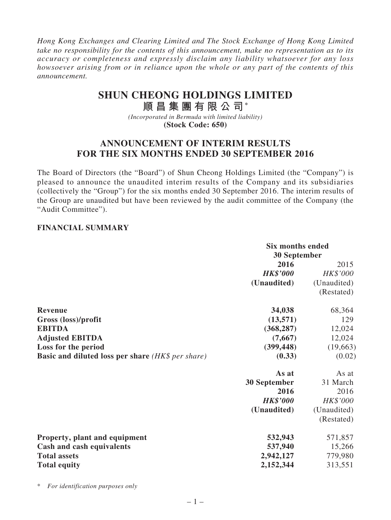*Hong Kong Exchanges and Clearing Limited and The Stock Exchange of Hong Kong Limited take no responsibility for the contents of this announcement, make no representation as to its accuracy or completeness and expressly disclaim any liability whatsoever for any loss howsoever arising from or in reliance upon the whole or any part of the contents of this announcement.*

# **SHUN CHEONG HOLDINGS LIMITED**

**順 昌 集 團 有 限 公 司\***

*(Incorporated in Bermuda with limited liability)* **(Stock Code: 650)**

## **ANNOUNCEMENT OF INTERIM RESULTS FOR THE SIX MONTHS ENDED 30 SEPTEMBER 2016**

The Board of Directors (the "Board") of Shun Cheong Holdings Limited (the "Company") is pleased to announce the unaudited interim results of the Company and its subsidiaries (collectively the "Group") for the six months ended 30 September 2016. The interim results of the Group are unaudited but have been reviewed by the audit committee of the Company (the "Audit Committee").

#### **FINANCIAL SUMMARY**

|                                                          | <b>Six months ended</b><br><b>30 September</b> |             |
|----------------------------------------------------------|------------------------------------------------|-------------|
|                                                          | 2016                                           | 2015        |
|                                                          | <b>HK\$'000</b>                                | HK\$'000    |
|                                                          | (Unaudited)                                    | (Unaudited) |
|                                                          |                                                | (Restated)  |
| <b>Revenue</b>                                           | 34,038                                         | 68,364      |
| Gross (loss)/profit                                      | (13,571)                                       | 129         |
| <b>EBITDA</b>                                            | (368, 287)                                     | 12,024      |
| <b>Adjusted EBITDA</b>                                   | (7,667)                                        | 12,024      |
| Loss for the period                                      | (399, 448)                                     | (19,663)    |
| <b>Basic and diluted loss per share (HK\$ per share)</b> | (0.33)                                         | (0.02)      |
|                                                          | As at                                          | As at       |
|                                                          | <b>30 September</b>                            | 31 March    |
|                                                          | 2016                                           | 2016        |
|                                                          | <b>HK\$'000</b>                                | HK\$'000    |
|                                                          | (Unaudited)                                    | (Unaudited) |
|                                                          |                                                | (Restated)  |
| Property, plant and equipment                            | 532,943                                        | 571,857     |
| Cash and cash equivalents                                | 537,940                                        | 15,266      |
| <b>Total assets</b>                                      | 2,942,127                                      | 779,980     |
| <b>Total equity</b>                                      | 2,152,344                                      | 313,551     |
|                                                          |                                                |             |

\* *For identification purposes only*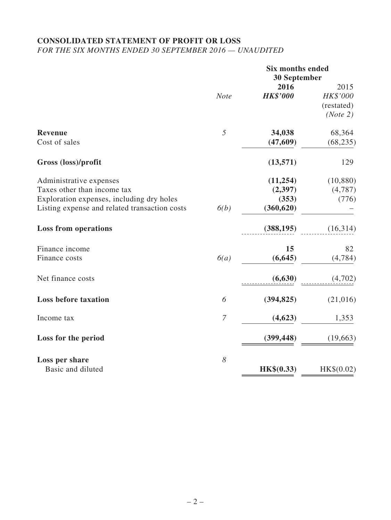### **CONSOLIDATED STATEMENT OF PROFIT OR LOSS** *FOR THE SIX MONTHS ENDED 30 SEPTEMBER 2016 — UNAUDITED*

|                                               | <b>Six months ended</b><br>30 September |                 |            |
|-----------------------------------------------|-----------------------------------------|-----------------|------------|
|                                               |                                         | 2016            | 2015       |
|                                               | <b>Note</b>                             | <b>HK\$'000</b> | HK\$'000   |
|                                               |                                         |                 | (restated) |
|                                               |                                         |                 | (Note 2)   |
| <b>Revenue</b>                                | 5                                       | 34,038          | 68,364     |
| Cost of sales                                 |                                         | (47, 609)       | (68, 235)  |
| Gross (loss)/profit                           |                                         | (13,571)        | 129        |
| Administrative expenses                       |                                         | (11, 254)       | (10, 880)  |
| Taxes other than income tax                   |                                         | (2, 397)        | (4,787)    |
| Exploration expenses, including dry holes     |                                         | (353)           | (776)      |
| Listing expense and related transaction costs | 6(b)                                    | (360, 620)      |            |
| <b>Loss from operations</b>                   |                                         | (388, 195)      | (16,314)   |
| Finance income                                |                                         | 15              | 82         |
| Finance costs                                 | 6(a)                                    | (6, 645)        | (4,784)    |
| Net finance costs                             |                                         | (6, 630)        | (4,702)    |
| <b>Loss before taxation</b>                   | 6                                       | (394, 825)      | (21,016)   |
| Income tax                                    | $\overline{7}$                          | (4,623)         | 1,353      |
| Loss for the period                           |                                         | (399, 448)      | (19,663)   |
| Loss per share<br>Basic and diluted           | 8                                       |                 |            |
|                                               |                                         | HK\$(0.33)      | HK\$(0.02) |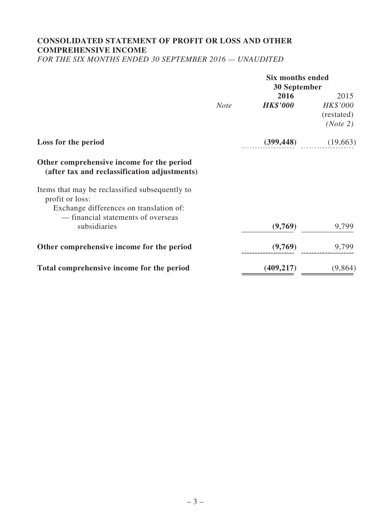# **CONSOLIDATED STATEMENT OF PROFIT OR LOSS AND OTHER COMPREHENSIVE INCOME**

*FOR THE SIX MONTHS ENDED 30 SEPTEMBER 2016 — UNAUDITED*

|                                                                                                              | <b>Six months ended</b><br>30 September |                         |                                            |
|--------------------------------------------------------------------------------------------------------------|-----------------------------------------|-------------------------|--------------------------------------------|
|                                                                                                              | <b>Note</b>                             | 2016<br><b>HK\$'000</b> | 2015<br>HK\$'000<br>(restated)<br>(Note 2) |
| Loss for the period                                                                                          |                                         | (399, 448)              | (19,663)                                   |
| Other comprehensive income for the period<br>(after tax and reclassification adjustments)                    |                                         |                         |                                            |
| Items that may be reclassified subsequently to<br>profit or loss:<br>Exchange differences on translation of: |                                         |                         |                                            |
| - financial statements of overseas                                                                           |                                         |                         |                                            |
| subsidiaries                                                                                                 |                                         | (9,769)                 | 9,799                                      |
| Other comprehensive income for the period                                                                    |                                         | (9,769)                 | 9,799                                      |
| Total comprehensive income for the period                                                                    |                                         | (409, 217)              | (9,864)                                    |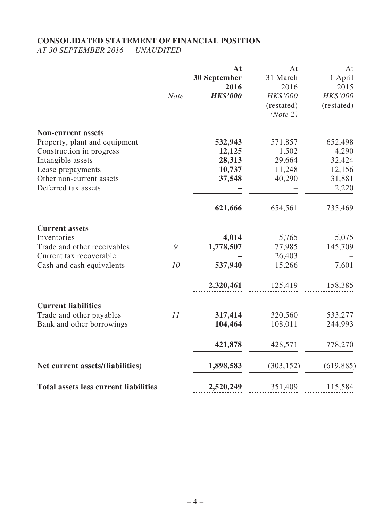# **CONSOLIDATED STATEMENT OF FINANCIAL POSITION**

*AT 30 SEPTEMBER 2016 — UNAUDITED*

|                                              |             | At              | At         | At         |
|----------------------------------------------|-------------|-----------------|------------|------------|
|                                              |             | 30 September    | 31 March   | 1 April    |
|                                              |             | 2016            | 2016       | 2015       |
|                                              | <b>Note</b> | <b>HK\$'000</b> | HK\$'000   | HK\$'000   |
|                                              |             |                 | (restated) | (restated) |
|                                              |             |                 | (Note 2)   |            |
| <b>Non-current assets</b>                    |             |                 |            |            |
| Property, plant and equipment                |             | 532,943         | 571,857    | 652,498    |
| Construction in progress                     |             | 12,125          | 1,502      | 4,290      |
| Intangible assets                            |             | 28,313          | 29,664     | 32,424     |
| Lease prepayments                            |             | 10,737          | 11,248     | 12,156     |
| Other non-current assets                     |             | 37,548          | 40,290     | 31,881     |
| Deferred tax assets                          |             |                 |            | 2,220      |
|                                              |             | 621,666         | 654,561    | 735,469    |
| <b>Current assets</b>                        |             |                 |            |            |
| Inventories                                  |             | 4,014           | 5,765      | 5,075      |
| Trade and other receivables                  | 9           | 1,778,507       | 77,985     | 145,709    |
| Current tax recoverable                      |             |                 | 26,403     |            |
| Cash and cash equivalents                    | 10          | 537,940         | 15,266     | 7,601      |
|                                              |             | 2,320,461       | 125,419    | 158,385    |
| <b>Current liabilities</b>                   |             |                 |            |            |
| Trade and other payables                     | 11          | 317,414         | 320,560    | 533,277    |
| Bank and other borrowings                    |             | 104,464         | 108,011    | 244,993    |
|                                              |             | 421,878         | 428,571    | 778,270    |
|                                              |             |                 |            |            |
| Net current assets/(liabilities)             |             | 1,898,583       | (303, 152) | (619, 885) |
| <b>Total assets less current liabilities</b> |             | 2,520,249       | 351,409    | 115,584    |
|                                              |             |                 |            |            |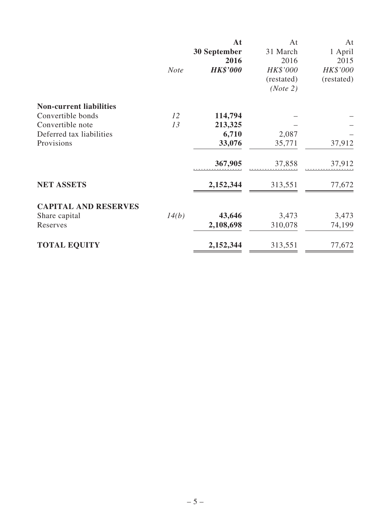|                                |             | At                  | At         | At         |
|--------------------------------|-------------|---------------------|------------|------------|
|                                |             | <b>30 September</b> | 31 March   | 1 April    |
|                                |             | 2016                | 2016       | 2015       |
|                                | <b>Note</b> | <b>HK\$'000</b>     | HK\$'000   | HK\$'000   |
|                                |             |                     | (restated) | (restated) |
|                                |             |                     | (Note 2)   |            |
| <b>Non-current liabilities</b> |             |                     |            |            |
| Convertible bonds              | 12          | 114,794             |            |            |
| Convertible note               | 13          | 213,325             |            |            |
| Deferred tax liabilities       |             | 6,710               | 2,087      |            |
| Provisions                     |             | 33,076              | 35,771     | 37,912     |
|                                |             | 367,905             | 37,858     | 37,912     |
| <b>NET ASSETS</b>              |             | 2,152,344           | 313,551    | 77,672     |
| <b>CAPITAL AND RESERVES</b>    |             |                     |            |            |
| Share capital                  | 14(b)       | 43,646              | 3,473      | 3,473      |
| Reserves                       |             | 2,108,698           | 310,078    | 74,199     |
| <b>TOTAL EQUITY</b>            |             | 2,152,344           | 313,551    | 77,672     |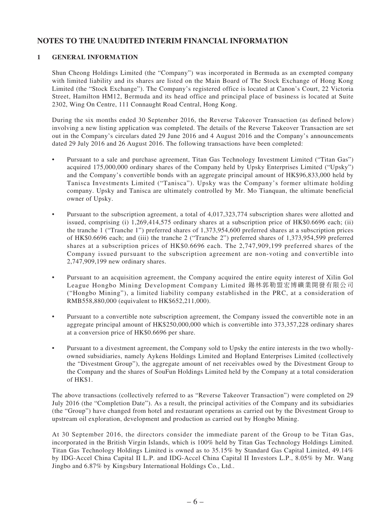### **NOTES TO THE UNAUDITED INTERIM FINANCIAL INFORMATION**

#### **1 GENERAL INFORMATION**

Shun Cheong Holdings Limited (the "Company") was incorporated in Bermuda as an exempted company with limited liability and its shares are listed on the Main Board of The Stock Exchange of Hong Kong Limited (the "Stock Exchange"). The Company's registered office is located at Canon's Court, 22 Victoria Street, Hamilton HM12, Bermuda and its head office and principal place of business is located at Suite 2302, Wing On Centre, 111 Connaught Road Central, Hong Kong.

During the six months ended 30 September 2016, the Reverse Takeover Transaction (as defined below) involving a new listing application was completed. The details of the Reverse Takeover Transaction are set out in the Company's circulars dated 29 June 2016 and 4 August 2016 and the Company's announcements dated 29 July 2016 and 26 August 2016. The following transactions have been completed:

- Pursuant to a sale and purchase agreement, Titan Gas Technology Investment Limited ("Titan Gas") acquired 175,000,000 ordinary shares of the Company held by Upsky Enterprises Limited ("Upsky") and the Company's convertible bonds with an aggregate principal amount of HK\$96,833,000 held by Tanisca Investments Limited ("Tanisca"). Upsky was the Company's former ultimate holding company. Upsky and Tanisca are ultimately controlled by Mr. Mo Tianquan, the ultimate beneficial owner of Upsky.
- Pursuant to the subscription agreement, a total of 4,017,323,774 subscription shares were allotted and issued, comprising (i) 1,269,414,575 ordinary shares at a subscription price of HK\$0.6696 each; (ii) the tranche 1 ("Tranche 1") preferred shares of 1,373,954,600 preferred shares at a subscription prices of HK\$0.6696 each; and (iii) the tranche 2 ("Tranche 2") preferred shares of 1,373,954,599 preferred shares at a subscription prices of HK\$0.6696 each. The 2,747,909,199 preferred shares of the Company issued pursuant to the subscription agreement are non-voting and convertible into 2,747,909,199 new ordinary shares.
- Pursuant to an acquisition agreement, the Company acquired the entire equity interest of Xilin Gol League Hongbo Mining Development Company Limited 錫林郭勒盟宏博礦業開發有限公司 ("Hongbo Mining"), a limited liability company established in the PRC, at a consideration of RMB558,880,000 (equivalent to HK\$652,211,000).
- • Pursuant to a convertible note subscription agreement, the Company issued the convertible note in an aggregate principal amount of HK\$250,000,000 which is convertible into 373,357,228 ordinary shares at a conversion price of HK\$0.6696 per share.
- • Pursuant to a divestment agreement, the Company sold to Upsky the entire interests in the two whollyowned subsidiaries, namely Aykens Holdings Limited and Hopland Enterprises Limited (collectively the "Divestment Group"), the aggregate amount of net receivables owed by the Divestment Group to the Company and the shares of SouFun Holdings Limited held by the Company at a total consideration of HK\$1.

The above transactions (collectively referred to as "Reverse Takeover Transaction") were completed on 29 July 2016 (the "Completion Date"). As a result, the principal activities of the Company and its subsidiaries (the "Group") have changed from hotel and restaurant operations as carried out by the Divestment Group to upstream oil exploration, development and production as carried out by Hongbo Mining.

At 30 September 2016, the directors consider the immediate parent of the Group to be Titan Gas, incorporated in the British Virgin Islands, which is 100% held by Titan Gas Technology Holdings Limited. Titan Gas Technology Holdings Limited is owned as to 35.15% by Standard Gas Capital Limited, 49.14% by IDG-Accel China Capital II L.P. and IDG-Accel China Capital II Investors L.P., 8.05% by Mr. Wang Jingbo and 6.87% by Kingsbury International Holdings Co., Ltd..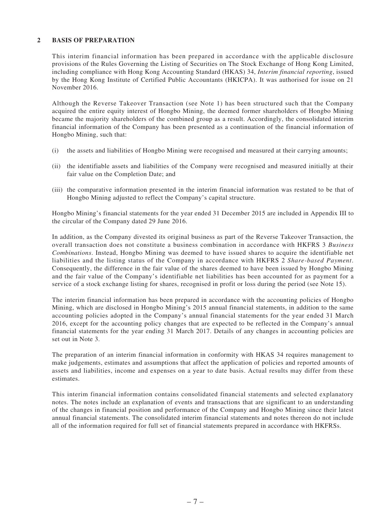#### **2 BASIS OF PREPARATION**

This interim financial information has been prepared in accordance with the applicable disclosure provisions of the Rules Governing the Listing of Securities on The Stock Exchange of Hong Kong Limited, including compliance with Hong Kong Accounting Standard (HKAS) 34, *Interim financial reporting*, issued by the Hong Kong Institute of Certified Public Accountants (HKICPA). It was authorised for issue on 21 November 2016.

Although the Reverse Takeover Transaction (see Note 1) has been structured such that the Company acquired the entire equity interest of Hongbo Mining, the deemed former shareholders of Hongbo Mining became the majority shareholders of the combined group as a result. Accordingly, the consolidated interim financial information of the Company has been presented as a continuation of the financial information of Hongbo Mining, such that:

- (i) the assets and liabilities of Hongbo Mining were recognised and measured at their carrying amounts;
- (ii) the identifiable assets and liabilities of the Company were recognised and measured initially at their fair value on the Completion Date; and
- (iii) the comparative information presented in the interim financial information was restated to be that of Hongbo Mining adjusted to reflect the Company's capital structure.

Hongbo Mining's financial statements for the year ended 31 December 2015 are included in Appendix III to the circular of the Company dated 29 June 2016.

In addition, as the Company divested its original business as part of the Reverse Takeover Transaction, the overall transaction does not constitute a business combination in accordance with HKFRS 3 *Business Combinations*. Instead, Hongbo Mining was deemed to have issued shares to acquire the identifiable net liabilities and the listing status of the Company in accordance with HKFRS 2 *Share-based Payment*. Consequently, the difference in the fair value of the shares deemed to have been issued by Hongbo Mining and the fair value of the Company's identifiable net liabilities has been accounted for as payment for a service of a stock exchange listing for shares, recognised in profit or loss during the period (see Note 15).

The interim financial information has been prepared in accordance with the accounting policies of Hongbo Mining, which are disclosed in Hongbo Mining's 2015 annual financial statements, in addition to the same accounting policies adopted in the Company's annual financial statements for the year ended 31 March 2016, except for the accounting policy changes that are expected to be reflected in the Company's annual financial statements for the year ending 31 March 2017. Details of any changes in accounting policies are set out in Note 3.

The preparation of an interim financial information in conformity with HKAS 34 requires management to make judgements, estimates and assumptions that affect the application of policies and reported amounts of assets and liabilities, income and expenses on a year to date basis. Actual results may differ from these estimates.

This interim financial information contains consolidated financial statements and selected explanatory notes. The notes include an explanation of events and transactions that are significant to an understanding of the changes in financial position and performance of the Company and Hongbo Mining since their latest annual financial statements. The consolidated interim financial statements and notes thereon do not include all of the information required for full set of financial statements prepared in accordance with HKFRSs.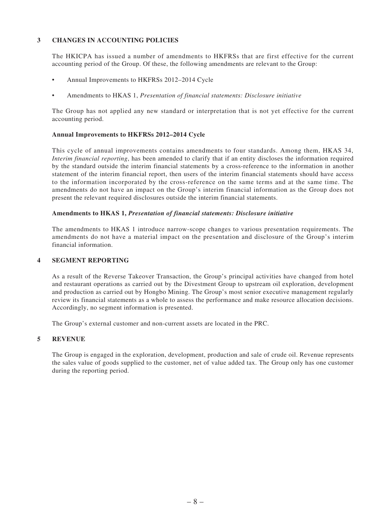#### **3 CHANGES IN ACCOUNTING POLICIES**

The HKICPA has issued a number of amendments to HKFRSs that are first effective for the current accounting period of the Group. Of these, the following amendments are relevant to the Group:

- Annual Improvements to HKFRSs 2012–2014 Cycle
- Amendments to HKAS 1, *Presentation of financial statements: Disclosure initiative*

The Group has not applied any new standard or interpretation that is not yet effective for the current accounting period.

#### **Annual Improvements to HKFRSs 2012–2014 Cycle**

This cycle of annual improvements contains amendments to four standards. Among them, HKAS 34, *Interim financial reporting*, has been amended to clarify that if an entity discloses the information required by the standard outside the interim financial statements by a cross-reference to the information in another statement of the interim financial report, then users of the interim financial statements should have access to the information incorporated by the cross-reference on the same terms and at the same time. The amendments do not have an impact on the Group's interim financial information as the Group does not present the relevant required disclosures outside the interim financial statements.

#### **Amendments to HKAS 1,** *Presentation of financial statements: Disclosure initiative*

The amendments to HKAS 1 introduce narrow-scope changes to various presentation requirements. The amendments do not have a material impact on the presentation and disclosure of the Group's interim financial information.

#### **4 SEGMENT REPORTING**

As a result of the Reverse Takeover Transaction, the Group's principal activities have changed from hotel and restaurant operations as carried out by the Divestment Group to upstream oil exploration, development and production as carried out by Hongbo Mining. The Group's most senior executive management regularly review its financial statements as a whole to assess the performance and make resource allocation decisions. Accordingly, no segment information is presented.

The Group's external customer and non-current assets are located in the PRC.

#### **5 REVENUE**

The Group is engaged in the exploration, development, production and sale of crude oil. Revenue represents the sales value of goods supplied to the customer, net of value added tax. The Group only has one customer during the reporting period.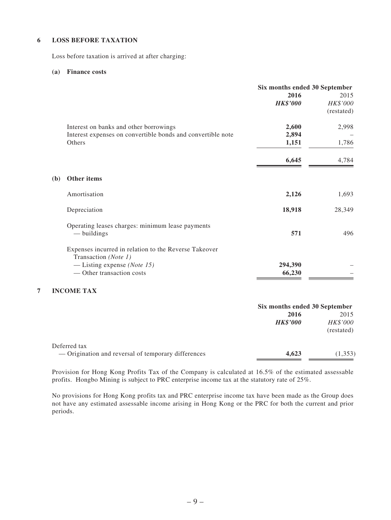#### **6 LOSS BEFORE TAXATION**

Loss before taxation is arrived at after charging:

#### **(a) Finance costs**

| Six months ended 30 September |
|-------------------------------|
| 2015                          |
| HK\$'000                      |
| (restated)                    |
| 2,998                         |
|                               |
| 1,786                         |
| 4,784                         |
|                               |
| 1,693                         |
| 28,349                        |
| 496                           |
|                               |
|                               |
|                               |
|                               |

#### **7 INCOME TAX**

|                                                                     | Six months ended 30 September |                                |  |
|---------------------------------------------------------------------|-------------------------------|--------------------------------|--|
|                                                                     | 2016<br><b>HK\$'000</b>       | 2015<br>HK\$'000<br>(restated) |  |
| Deferred tax<br>— Origination and reversal of temporary differences | 4,623                         | (1,353)                        |  |

Provision for Hong Kong Profits Tax of the Company is calculated at 16.5% of the estimated assessable profits. Hongbo Mining is subject to PRC enterprise income tax at the statutory rate of 25%.

No provisions for Hong Kong profits tax and PRC enterprise income tax have been made as the Group does not have any estimated assessable income arising in Hong Kong or the PRC for both the current and prior periods.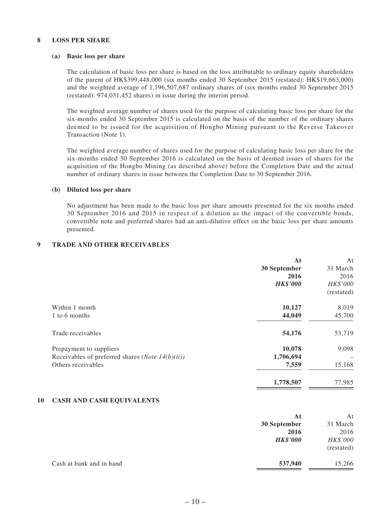#### **8 LOSS PER SHARE**

#### **(a) Basic loss per share**

The calculation of basic loss per share is based on the loss attributable to ordinary equity shareholders of the parent of HK\$399,448,000 (six months ended 30 September 2015 (restated): HK\$19,663,000) and the weighted average of 1,196,507,687 ordinary shares of (six months ended 30 September 2015 (restated): 974,031,452 shares) in issue during the interim period.

The weighted average number of shares used for the purpose of calculating basic loss per share for the six-months ended 30 September 2015 is calculated on the basis of the number of the ordinary shares deemed to be issued for the acquisition of Hongbo Mining pursuant to the Reverse Takeover Transaction (Note 1).

The weighted average number of shares used for the purpose of calculating basic loss per share for the six-months ended 30 September 2016 is calculated on the basis of deemed issues of shares for the acquisition of the Hongbo Mining (as described above) before the Completion Date and the actual number of ordinary shares in issue between the Completion Date to 30 September 2016.

#### **(b) Diluted loss per share**

No adjustment has been made to the basic loss per share amounts presented for the six months ended 30 September 2016 and 2015 in respect of a dilution as the impact of the convertible bonds, convertible note and preferred shares had an anti-dilutive effect on the basic loss per share amounts presented.

#### **9 TRADE AND OTHER RECEIVABLES**

|                                                           | At              | At         |
|-----------------------------------------------------------|-----------------|------------|
|                                                           | 30 September    | 31 March   |
|                                                           | 2016            | 2016       |
|                                                           | <b>HK\$'000</b> | HK\$'000   |
|                                                           |                 | (restated) |
| Within 1 month                                            | 10,127          | 8,019      |
| 1 to 6 months                                             | 44,049          | 45,700     |
| Trade receivables                                         | 54,176          | 53,719     |
| Prepayment to suppliers                                   | 10,078          | 9,098      |
| Receivables of preferred shares ( <i>Note 14(b)(ii)</i> ) | 1,706,694       |            |
| Others receivables                                        | 7,559           | 15,168     |
|                                                           | 1,778,507       | 77,985     |

#### **10 CASH AND CASH EQUIVALENTS**

|                          | At              | At         |
|--------------------------|-----------------|------------|
|                          | 30 September    | 31 March   |
|                          | 2016            | 2016       |
|                          | <b>HK\$'000</b> | HK\$'000   |
|                          |                 | (restated) |
| Cash at bank and in hand | 537,940         | 15,266     |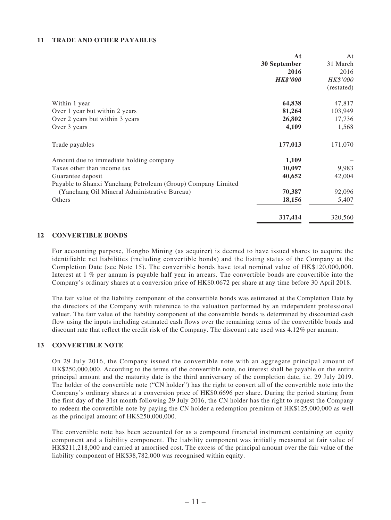#### **11 TRADE AND OTHER PAYABLES**

|                                                              | At              | At         |
|--------------------------------------------------------------|-----------------|------------|
|                                                              | 30 September    | 31 March   |
|                                                              | 2016            | 2016       |
|                                                              | <b>HK\$'000</b> | HK\$'000   |
|                                                              |                 | (restated) |
| Within 1 year                                                | 64,838          | 47,817     |
| Over 1 year but within 2 years                               | 81,264          | 103,949    |
| Over 2 years but within 3 years                              | 26,802          | 17,736     |
| Over 3 years                                                 | 4,109           | 1,568      |
| Trade payables                                               | 177,013         | 171,070    |
| Amount due to immediate holding company                      | 1,109           |            |
| Taxes other than income tax                                  | 10,097          | 9,983      |
| Guarantee deposit                                            | 40,652          | 42,004     |
| Payable to Shanxi Yanchang Petroleum (Group) Company Limited |                 |            |
| (Yanchang Oil Mineral Administrative Bureau)                 | 70,387          | 92,096     |
| Others                                                       | 18,156          | 5,407      |
|                                                              | 317,414         | 320,560    |

#### **12 CONVERTIBLE BONDS**

For accounting purpose, Hongbo Mining (as acquirer) is deemed to have issued shares to acquire the identifiable net liabilities (including convertible bonds) and the listing status of the Company at the Completion Date (see Note 15). The convertible bonds have total nominal value of HK\$120,000,000. Interest at 1 % per annum is payable half year in arrears. The convertible bonds are convertible into the Company's ordinary shares at a conversion price of HK\$0.0672 per share at any time before 30 April 2018.

The fair value of the liability component of the convertible bonds was estimated at the Completion Date by the directors of the Company with reference to the valuation performed by an independent professional valuer. The fair value of the liability component of the convertible bonds is determined by discounted cash flow using the inputs including estimated cash flows over the remaining terms of the convertible bonds and discount rate that reflect the credit risk of the Company. The discount rate used was 4.12% per annum.

#### **13 CONVERTIBLE NOTE**

On 29 July 2016, the Company issued the convertible note with an aggregate principal amount of HK\$250,000,000. According to the terms of the convertible note, no interest shall be payable on the entire principal amount and the maturity date is the third anniversary of the completion date, i.e. 29 July 2019. The holder of the convertible note ("CN holder") has the right to convert all of the convertible note into the Company's ordinary shares at a conversion price of HK\$0.6696 per share. During the period starting from the first day of the 31st month following 29 July 2016, the CN holder has the right to request the Company to redeem the convertible note by paying the CN holder a redemption premium of HK\$125,000,000 as well as the principal amount of HK\$250,000,000.

The convertible note has been accounted for as a compound financial instrument containing an equity component and a liability component. The liability component was initially measured at fair value of HK\$211,218,000 and carried at amortised cost. The excess of the principal amount over the fair value of the liability component of HK\$38,782,000 was recognised within equity.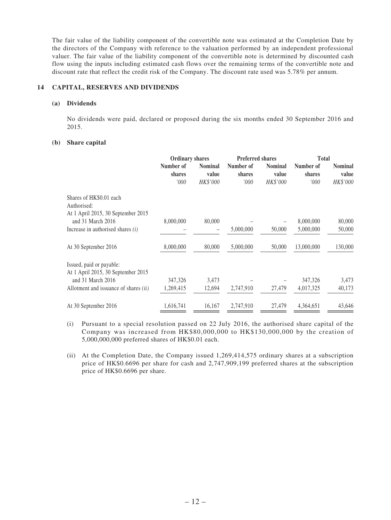The fair value of the liability component of the convertible note was estimated at the Completion Date by the directors of the Company with reference to the valuation performed by an independent professional valuer. The fair value of the liability component of the convertible note is determined by discounted cash flow using the inputs including estimated cash flows over the remaining terms of the convertible note and discount rate that reflect the credit risk of the Company. The discount rate used was 5.78% per annum.

#### **14 CAPITAL, RESERVES AND DIVIDENDS**

#### **(a) Dividends**

No dividends were paid, declared or proposed during the six months ended 30 September 2016 and 2015.

#### **(b) Share capital**

|                                                                              | <b>Ordinary shares</b>      |                                     | <b>Preferred shares</b>     |                                     | <b>Total</b>                |                                     |
|------------------------------------------------------------------------------|-----------------------------|-------------------------------------|-----------------------------|-------------------------------------|-----------------------------|-------------------------------------|
|                                                                              | Number of<br>shares<br>'000 | <b>Nominal</b><br>value<br>HK\$'000 | Number of<br>shares<br>'000 | <b>Nominal</b><br>value<br>HK\$'000 | Number of<br>shares<br>'000 | <b>Nominal</b><br>value<br>HK\$'000 |
| Shares of HK\$0.01 each<br>Authorised:<br>At 1 April 2015, 30 September 2015 |                             |                                     |                             |                                     |                             |                                     |
| and 31 March 2016                                                            | 8,000,000                   | 80,000                              |                             |                                     | 8,000,000                   | 80,000                              |
| Increase in authorised shares $(i)$                                          |                             |                                     | 5,000,000                   | 50,000                              | 5,000,000                   | 50,000                              |
| At 30 September 2016                                                         | 8,000,000                   | 80,000                              | 5,000,000                   | 50,000                              | 13,000,000                  | 130,000                             |
| Issued, paid or payable:<br>At 1 April 2015, 30 September 2015               |                             |                                     |                             |                                     |                             |                                     |
| and 31 March 2016                                                            | 347,326                     | 3,473                               |                             |                                     | 347,326                     | 3,473                               |
| Allotment and issuance of shares <i>(ii)</i>                                 | 1,269,415                   | 12,694                              | 2,747,910                   | 27,479                              | 4,017,325                   | 40,173                              |
|                                                                              |                             |                                     |                             |                                     |                             |                                     |
| At 30 September 2016                                                         | 1,616,741                   | 16,167                              | 2,747,910                   | 27,479                              | 4.364.651                   | 43,646                              |

- (i) Pursuant to a special resolution passed on 22 July 2016, the authorised share capital of the Company was increased from HK\$80,000,000 to HK\$130,000,000 by the creation of 5,000,000,000 preferred shares of HK\$0.01 each.
- (ii) At the Completion Date, the Company issued 1,269,414,575 ordinary shares at a subscription price of HK\$0.6696 per share for cash and 2,747,909,199 preferred shares at the subscription price of HK\$0.6696 per share.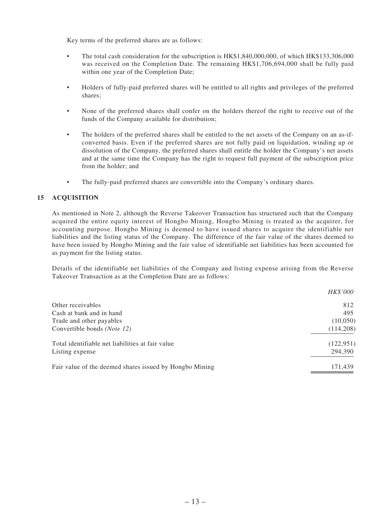Key terms of the preferred shares are as follows:

- The total cash consideration for the subscription is HK\$1,840,000,000, of which HK\$133,306,000 was received on the Completion Date. The remaining HK\$1,706,694,000 shall be fully paid within one year of the Completion Date;
- • Holders of fully-paid preferred shares will be entitled to all rights and privileges of the preferred shares;
- None of the preferred shares shall confer on the holders thereof the right to receive out of the funds of the Company available for distribution;
- The holders of the preferred shares shall be entitled to the net assets of the Company on an as-ifconverted basis. Even if the preferred shares are not fully paid on liquidation, winding up or dissolution of the Company, the preferred shares shall entitle the holder the Company's net assets and at the same time the Company has the right to request full payment of the subscription price from the holder; and
- The fully-paid preferred shares are convertible into the Company's ordinary shares.

#### **15 ACQUISITION**

As mentioned in Note 2, although the Reverse Takeover Transaction has structured such that the Company acquired the entire equity interest of Hongbo Mining, Hongbo Mining is treated as the acquirer, for accounting purpose. Hongbo Mining is deemed to have issued shares to acquire the identifiable net liabilities and the listing status of the Company. The difference of the fair value of the shares deemed to have been issued by Hongbo Mining and the fair value of identifiable net liabilities has been accounted for as payment for the listing status.

Details of the identifiable net liabilities of the Company and listing expense arising from the Reverse Takeover Transaction as at the Completion Date are as follows:

|                                                         | <i>HK\$'000</i> |
|---------------------------------------------------------|-----------------|
| Other receivables                                       | 812             |
| Cash at bank and in hand                                | 495             |
| Trade and other payables                                | (10,050)        |
| Convertible bonds ( <i>Note 12</i> )                    | (114,208)       |
| Total identifiable net liabilities at fair value        | (122, 951)      |
| Listing expense                                         | 294,390         |
| Fair value of the deemed shares issued by Hongbo Mining | 171,439         |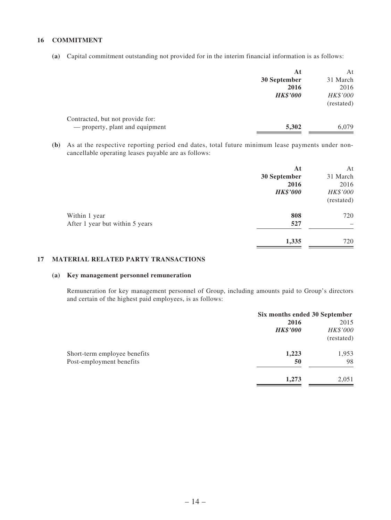#### **16 COMMITMENT**

**(a)** Capital commitment outstanding not provided for in the interim financial information is as follows:

|                                  | At              | At         |
|----------------------------------|-----------------|------------|
|                                  | 30 September    | 31 March   |
|                                  | 2016            | 2016       |
|                                  | <b>HK\$'000</b> | HK\$'000   |
|                                  |                 | (restated) |
| Contracted, but not provide for: |                 |            |
| — property, plant and equipment  | 5,302           | 6,079      |
|                                  |                 |            |

**(b)** As at the respective reporting period end dates, total future minimum lease payments under noncancellable operating leases payable are as follows:

|                                 | At              | At         |
|---------------------------------|-----------------|------------|
|                                 | 30 September    | 31 March   |
|                                 | 2016            | 2016       |
|                                 | <b>HK\$'000</b> | HK\$'000   |
|                                 |                 | (restated) |
| Within 1 year                   | 808             | 720        |
| After 1 year but within 5 years | 527             |            |
|                                 | 1,335           | 720        |

#### **17 MATERIAL RELATED PARTY TRANSACTIONS**

#### **(a) Key management personnel remuneration**

Remuneration for key management personnel of Group, including amounts paid to Group's directors and certain of the highest paid employees, is as follows:

| Six months ended 30 September |            |
|-------------------------------|------------|
| 2016                          | 2015       |
| <b>HK\$'000</b>               | HK\$'000   |
|                               | (restated) |
| 1,223                         | 1,953      |
| 50                            | 98         |
| 1,273                         | 2,051      |
|                               |            |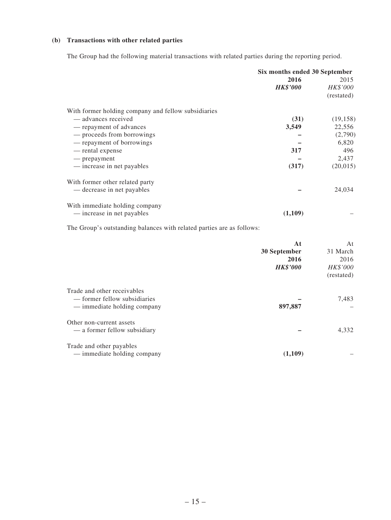#### **(b) Transactions with other related parties**

The Group had the following material transactions with related parties during the reporting period.

|                                                     | Six months ended 30 September |            |
|-----------------------------------------------------|-------------------------------|------------|
|                                                     | 2016                          | 2015       |
|                                                     | <b>HK\$'000</b>               | HK\$'000   |
|                                                     |                               | (restated) |
| With former holding company and fellow subsidiaries |                               |            |
| — advances received                                 | (31)                          | (19, 158)  |
| — repayment of advances                             | 3,549                         | 22,556     |
| — proceeds from borrowings                          |                               | (2,790)    |
| — repayment of borrowings                           |                               | 6,820      |
| — rental expense                                    | 317                           | 496        |
| — prepayment                                        |                               | 2,437      |
| — increase in net payables                          | (317)                         | (20,015)   |
| With former other related party                     |                               |            |
| — decrease in net payables                          |                               | 24,034     |
| With immediate holding company                      |                               |            |
| — increase in net payables                          | (1,109)                       |            |

The Group's outstanding balances with related parties are as follows:

|                                                                                            | At<br>30 September<br>2016<br><b>HK\$'000</b> | At<br>31 March<br>2016<br><i>HK\$'000</i><br>(restated) |
|--------------------------------------------------------------------------------------------|-----------------------------------------------|---------------------------------------------------------|
| Trade and other receivables<br>— former fellow subsidiaries<br>— immediate holding company | 897,887                                       | 7,483                                                   |
| Other non-current assets<br>— a former fellow subsidiary                                   |                                               | 4,332                                                   |
| Trade and other payables<br>— immediate holding company                                    | (1,109)                                       |                                                         |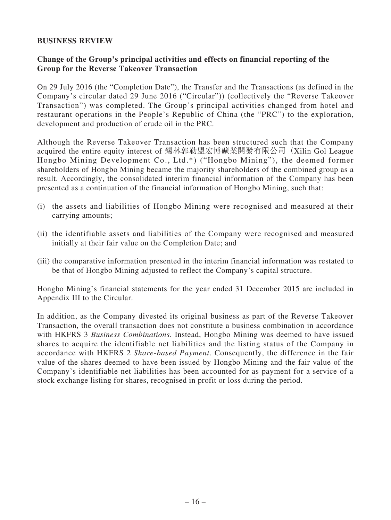#### **BUSINESS REVIEW**

### **Change of the Group's principal activities and effects on financial reporting of the Group for the Reverse Takeover Transaction**

On 29 July 2016 (the "Completion Date"), the Transfer and the Transactions (as defined in the Company's circular dated 29 June 2016 ("Circular")) (collectively the "Reverse Takeover Transaction") was completed. The Group's principal activities changed from hotel and restaurant operations in the People's Republic of China (the "PRC") to the exploration, development and production of crude oil in the PRC.

Although the Reverse Takeover Transaction has been structured such that the Company acquired the entire equity interest of 錫林郭勒盟宏博礦業開發有限公司(Xilin Gol League Hongbo Mining Development Co., Ltd.\*) ("Hongbo Mining"), the deemed former shareholders of Hongbo Mining became the majority shareholders of the combined group as a result. Accordingly, the consolidated interim financial information of the Company has been presented as a continuation of the financial information of Hongbo Mining, such that:

- (i) the assets and liabilities of Hongbo Mining were recognised and measured at their carrying amounts;
- (ii) the identifiable assets and liabilities of the Company were recognised and measured initially at their fair value on the Completion Date; and
- (iii) the comparative information presented in the interim financial information was restated to be that of Hongbo Mining adjusted to reflect the Company's capital structure.

Hongbo Mining's financial statements for the year ended 31 December 2015 are included in Appendix III to the Circular.

In addition, as the Company divested its original business as part of the Reverse Takeover Transaction, the overall transaction does not constitute a business combination in accordance with HKFRS 3 *Business Combinations*. Instead, Hongbo Mining was deemed to have issued shares to acquire the identifiable net liabilities and the listing status of the Company in accordance with HKFRS 2 *Share-based Payment*. Consequently, the difference in the fair value of the shares deemed to have been issued by Hongbo Mining and the fair value of the Company's identifiable net liabilities has been accounted for as payment for a service of a stock exchange listing for shares, recognised in profit or loss during the period.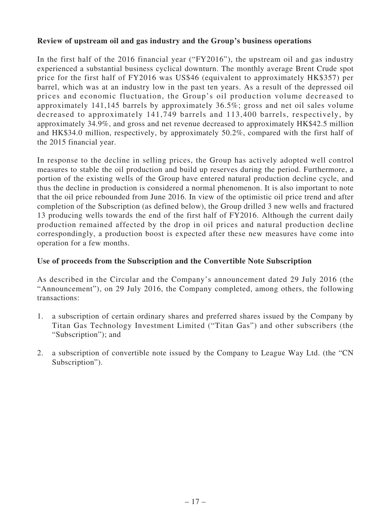### **Review of upstream oil and gas industry and the Group's business operations**

In the first half of the 2016 financial year ("FY2016"), the upstream oil and gas industry experienced a substantial business cyclical downturn. The monthly average Brent Crude spot price for the first half of FY2016 was US\$46 (equivalent to approximately HK\$357) per barrel, which was at an industry low in the past ten years. As a result of the depressed oil prices and economic fluctuation, the Group's oil production volume decreased to approximately 141,145 barrels by approximately 36.5%; gross and net oil sales volume decreased to approximately 141,749 barrels and 113,400 barrels, respectively, by approximately 34.9%, and gross and net revenue decreased to approximately HK\$42.5 million and HK\$34.0 million, respectively, by approximately 50.2%, compared with the first half of the 2015 financial year.

In response to the decline in selling prices, the Group has actively adopted well control measures to stable the oil production and build up reserves during the period. Furthermore, a portion of the existing wells of the Group have entered natural production decline cycle, and thus the decline in production is considered a normal phenomenon. It is also important to note that the oil price rebounded from June 2016. In view of the optimistic oil price trend and after completion of the Subscription (as defined below), the Group drilled 3 new wells and fractured 13 producing wells towards the end of the first half of FY2016. Although the current daily production remained affected by the drop in oil prices and natural production decline correspondingly, a production boost is expected after these new measures have come into operation for a few months.

### **Use of proceeds from the Subscription and the Convertible Note Subscription**

As described in the Circular and the Company's announcement dated 29 July 2016 (the "Announcement"), on 29 July 2016, the Company completed, among others, the following transactions:

- 1. a subscription of certain ordinary shares and preferred shares issued by the Company by Titan Gas Technology Investment Limited ("Titan Gas") and other subscribers (the "Subscription"); and
- 2. a subscription of convertible note issued by the Company to League Way Ltd. (the "CN Subscription").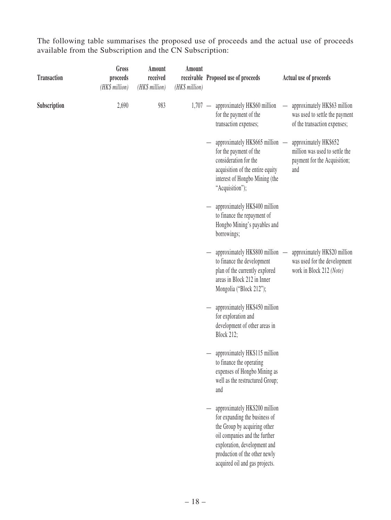The following table summarises the proposed use of proceeds and the actual use of proceeds available from the Subscription and the CN Subscription:

| <b>Transaction</b> | Gross<br>proceeds<br>(HK\$ million) | Amount<br>received<br>(HK\$ million) | Amount<br>(HK\$ million) | receivable Proposed use of proceeds                                                                                                                                                                                                | Actual use of proceeds                                                                                                   |
|--------------------|-------------------------------------|--------------------------------------|--------------------------|------------------------------------------------------------------------------------------------------------------------------------------------------------------------------------------------------------------------------------|--------------------------------------------------------------------------------------------------------------------------|
| Subscription       | 2,690                               | 983                                  |                          | 1,707 - approximately HK\$60 million<br>for the payment of the<br>transaction expenses;                                                                                                                                            | approximately HK\$63 million<br>$\equiv$<br>was used to settle the payment<br>of the transaction expenses;               |
|                    |                                     |                                      |                          | approximately HK\$665 million — approximately HK\$652<br>for the payment of the<br>consideration for the<br>acquisition of the entire equity<br>interest of Hongbo Mining (the<br>"Acquisition");                                  | million was used to settle the<br>payment for the Acquisition;<br>and                                                    |
|                    |                                     |                                      |                          | approximately HK\$400 million<br>to finance the repayment of<br>Hongbo Mining's payables and<br>borrowings;                                                                                                                        |                                                                                                                          |
|                    |                                     |                                      |                          | to finance the development<br>plan of the currently explored<br>areas in Block 212 in Inner<br>Mongolia ("Block 212");                                                                                                             | approximately HK\$800 million — approximately HK\$20 million<br>was used for the development<br>work in Block 212 (Note) |
|                    |                                     |                                      |                          | approximately HK\$450 million<br>for exploration and<br>development of other areas in<br><b>Block 212;</b>                                                                                                                         |                                                                                                                          |
|                    |                                     |                                      |                          | approximately HK\$115 million<br>to finance the operating<br>expenses of Hongbo Mining as<br>well as the restructured Group;<br>and                                                                                                |                                                                                                                          |
|                    |                                     |                                      |                          | approximately HK\$200 million<br>for expanding the business of<br>the Group by acquiring other<br>oil companies and the further<br>exploration, development and<br>production of the other newly<br>acquired oil and gas projects. |                                                                                                                          |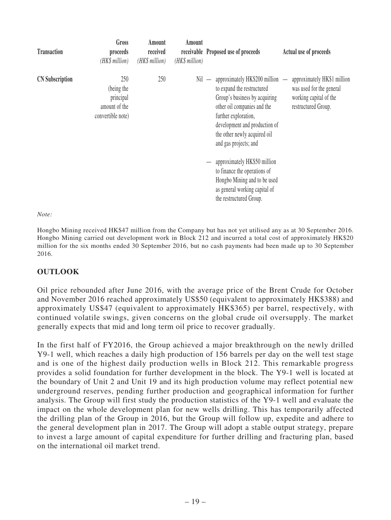| <b>Transaction</b>     | Gross<br>proceeds<br>(HK\$ million)                                  | Amount<br>received<br>(HK\$ million) | Amount<br>(HK\$ million) | receivable Proposed use of proceeds                                                                                                                                                                                                                                                                                                                                                                                       | Actual use of proceeds                                                                                   |
|------------------------|----------------------------------------------------------------------|--------------------------------------|--------------------------|---------------------------------------------------------------------------------------------------------------------------------------------------------------------------------------------------------------------------------------------------------------------------------------------------------------------------------------------------------------------------------------------------------------------------|----------------------------------------------------------------------------------------------------------|
| <b>CN</b> Subscription | 250<br>(being the<br>principal<br>amount of the<br>convertible note) | 250                                  |                          | approximately $HK$200$ million $-$<br>$Nil -$<br>to expand the restructured<br>Group's business by acquiring<br>other oil companies and the<br>further exploration,<br>development and production of<br>the other newly acquired oil<br>and gas projects; and<br>approximately HK\$50 million<br>to finance the operations of<br>Hongbo Mining and to be used<br>as general working capital of<br>the restructured Group. | approximately HK\$1 million<br>was used for the general<br>working capital of the<br>restructured Group. |

#### *Note:*

Hongbo Mining received HK\$47 million from the Company but has not yet utilised any as at 30 September 2016. Hongbo Mining carried out development work in Block 212 and incurred a total cost of approximately HK\$20 million for the six months ended 30 September 2016, but no cash payments had been made up to 30 September 2016.

#### **OUTLOOK**

Oil price rebounded after June 2016, with the average price of the Brent Crude for October and November 2016 reached approximately US\$50 (equivalent to approximately HK\$388) and approximately US\$47 (equivalent to approximately HK\$365) per barrel, respectively, with continued volatile swings, given concerns on the global crude oil oversupply. The market generally expects that mid and long term oil price to recover gradually.

In the first half of FY2016, the Group achieved a major breakthrough on the newly drilled Y9-1 well, which reaches a daily high production of 156 barrels per day on the well test stage and is one of the highest daily production wells in Block 212. This remarkable progress provides a solid foundation for further development in the block. The Y9-1 well is located at the boundary of Unit 2 and Unit 19 and its high production volume may reflect potential new underground reserves, pending further production and geographical information for further analysis. The Group will first study the production statistics of the Y9-1 well and evaluate the impact on the whole development plan for new wells drilling. This has temporarily affected the drilling plan of the Group in 2016, but the Group will follow up, expedite and adhere to the general development plan in 2017. The Group will adopt a stable output strategy, prepare to invest a large amount of capital expenditure for further drilling and fracturing plan, based on the international oil market trend.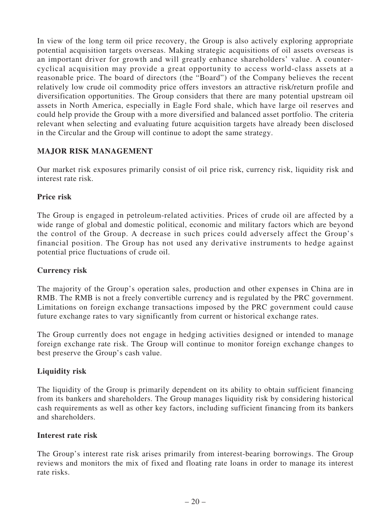In view of the long term oil price recovery, the Group is also actively exploring appropriate potential acquisition targets overseas. Making strategic acquisitions of oil assets overseas is an important driver for growth and will greatly enhance shareholders' value. A countercyclical acquisition may provide a great opportunity to access world-class assets at a reasonable price. The board of directors (the "Board") of the Company believes the recent relatively low crude oil commodity price offers investors an attractive risk/return profile and diversification opportunities. The Group considers that there are many potential upstream oil assets in North America, especially in Eagle Ford shale, which have large oil reserves and could help provide the Group with a more diversified and balanced asset portfolio. The criteria relevant when selecting and evaluating future acquisition targets have already been disclosed in the Circular and the Group will continue to adopt the same strategy.

### **MAJOR RISK MANAGEMENT**

Our market risk exposures primarily consist of oil price risk, currency risk, liquidity risk and interest rate risk.

### **Price risk**

The Group is engaged in petroleum-related activities. Prices of crude oil are affected by a wide range of global and domestic political, economic and military factors which are beyond the control of the Group. A decrease in such prices could adversely affect the Group's financial position. The Group has not used any derivative instruments to hedge against potential price fluctuations of crude oil.

### **Currency risk**

The majority of the Group's operation sales, production and other expenses in China are in RMB. The RMB is not a freely convertible currency and is regulated by the PRC government. Limitations on foreign exchange transactions imposed by the PRC government could cause future exchange rates to vary significantly from current or historical exchange rates.

The Group currently does not engage in hedging activities designed or intended to manage foreign exchange rate risk. The Group will continue to monitor foreign exchange changes to best preserve the Group's cash value.

### **Liquidity risk**

The liquidity of the Group is primarily dependent on its ability to obtain sufficient financing from its bankers and shareholders. The Group manages liquidity risk by considering historical cash requirements as well as other key factors, including sufficient financing from its bankers and shareholders.

#### **Interest rate risk**

The Group's interest rate risk arises primarily from interest-bearing borrowings. The Group reviews and monitors the mix of fixed and floating rate loans in order to manage its interest rate risks.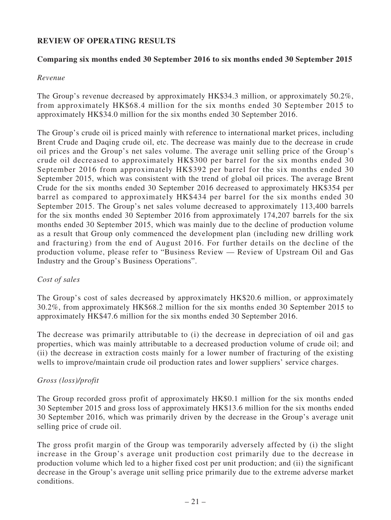### **REVIEW OF OPERATING RESULTS**

### **Comparing six months ended 30 September 2016 to six months ended 30 September 2015**

#### *Revenue*

The Group's revenue decreased by approximately HK\$34.3 million, or approximately 50.2%, from approximately HK\$68.4 million for the six months ended 30 September 2015 to approximately HK\$34.0 million for the six months ended 30 September 2016.

The Group's crude oil is priced mainly with reference to international market prices, including Brent Crude and Daqing crude oil, etc. The decrease was mainly due to the decrease in crude oil prices and the Group's net sales volume. The average unit selling price of the Group's crude oil decreased to approximately HK\$300 per barrel for the six months ended 30 September 2016 from approximately HK\$392 per barrel for the six months ended 30 September 2015, which was consistent with the trend of global oil prices. The average Brent Crude for the six months ended 30 September 2016 decreased to approximately HK\$354 per barrel as compared to approximately HK\$434 per barrel for the six months ended 30 September 2015. The Group's net sales volume decreased to approximately 113,400 barrels for the six months ended 30 September 2016 from approximately 174,207 barrels for the six months ended 30 September 2015, which was mainly due to the decline of production volume as a result that Group only commenced the development plan (including new drilling work and fracturing) from the end of August 2016. For further details on the decline of the production volume, please refer to "Business Review — Review of Upstream Oil and Gas Industry and the Group's Business Operations".

### *Cost of sales*

The Group's cost of sales decreased by approximately HK\$20.6 million, or approximately 30.2%, from approximately HK\$68.2 million for the six months ended 30 September 2015 to approximately HK\$47.6 million for the six months ended 30 September 2016.

The decrease was primarily attributable to (i) the decrease in depreciation of oil and gas properties, which was mainly attributable to a decreased production volume of crude oil; and (ii) the decrease in extraction costs mainly for a lower number of fracturing of the existing wells to improve/maintain crude oil production rates and lower suppliers' service charges.

### *Gross (loss)/profit*

The Group recorded gross profit of approximately HK\$0.1 million for the six months ended 30 September 2015 and gross loss of approximately HK\$13.6 million for the six months ended 30 September 2016, which was primarily driven by the decrease in the Group's average unit selling price of crude oil.

The gross profit margin of the Group was temporarily adversely affected by (i) the slight increase in the Group's average unit production cost primarily due to the decrease in production volume which led to a higher fixed cost per unit production; and (ii) the significant decrease in the Group's average unit selling price primarily due to the extreme adverse market conditions.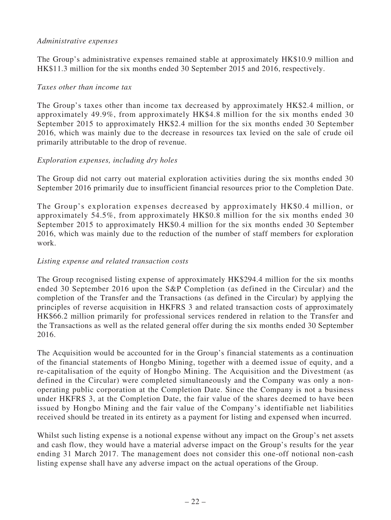#### *Administrative expenses*

The Group's administrative expenses remained stable at approximately HK\$10.9 million and HK\$11.3 million for the six months ended 30 September 2015 and 2016, respectively.

#### *Taxes other than income tax*

The Group's taxes other than income tax decreased by approximately HK\$2.4 million, or approximately 49.9%, from approximately HK\$4.8 million for the six months ended 30 September 2015 to approximately HK\$2.4 million for the six months ended 30 September 2016, which was mainly due to the decrease in resources tax levied on the sale of crude oil primarily attributable to the drop of revenue.

### *Exploration expenses, including dry holes*

The Group did not carry out material exploration activities during the six months ended 30 September 2016 primarily due to insufficient financial resources prior to the Completion Date.

The Group's exploration expenses decreased by approximately HK\$0.4 million, or approximately 54.5%, from approximately HK\$0.8 million for the six months ended 30 September 2015 to approximately HK\$0.4 million for the six months ended 30 September 2016, which was mainly due to the reduction of the number of staff members for exploration work.

### *Listing expense and related transaction costs*

The Group recognised listing expense of approximately HK\$294.4 million for the six months ended 30 September 2016 upon the S&P Completion (as defined in the Circular) and the completion of the Transfer and the Transactions (as defined in the Circular) by applying the principles of reverse acquisition in HKFRS 3 and related transaction costs of approximately HK\$66.2 million primarily for professional services rendered in relation to the Transfer and the Transactions as well as the related general offer during the six months ended 30 September 2016.

The Acquisition would be accounted for in the Group's financial statements as a continuation of the financial statements of Hongbo Mining, together with a deemed issue of equity, and a re-capitalisation of the equity of Hongbo Mining. The Acquisition and the Divestment (as defined in the Circular) were completed simultaneously and the Company was only a nonoperating public corporation at the Completion Date. Since the Company is not a business under HKFRS 3, at the Completion Date, the fair value of the shares deemed to have been issued by Hongbo Mining and the fair value of the Company's identifiable net liabilities received should be treated in its entirety as a payment for listing and expensed when incurred.

Whilst such listing expense is a notional expense without any impact on the Group's net assets and cash flow, they would have a material adverse impact on the Group's results for the year ending 31 March 2017. The management does not consider this one-off notional non-cash listing expense shall have any adverse impact on the actual operations of the Group.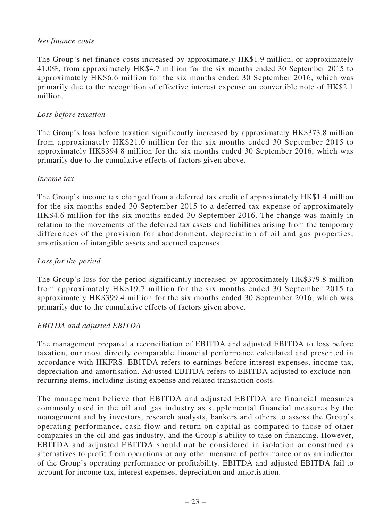### *Net finance costs*

The Group's net finance costs increased by approximately HK\$1.9 million, or approximately 41.0%, from approximately HK\$4.7 million for the six months ended 30 September 2015 to approximately HK\$6.6 million for the six months ended 30 September 2016, which was primarily due to the recognition of effective interest expense on convertible note of HK\$2.1 million.

### *Loss before taxation*

The Group's loss before taxation significantly increased by approximately HK\$373.8 million from approximately HK\$21.0 million for the six months ended 30 September 2015 to approximately HK\$394.8 million for the six months ended 30 September 2016, which was primarily due to the cumulative effects of factors given above.

#### *Income tax*

The Group's income tax changed from a deferred tax credit of approximately HK\$1.4 million for the six months ended 30 September 2015 to a deferred tax expense of approximately HK\$4.6 million for the six months ended 30 September 2016. The change was mainly in relation to the movements of the deferred tax assets and liabilities arising from the temporary differences of the provision for abandonment, depreciation of oil and gas properties, amortisation of intangible assets and accrued expenses.

### *Loss for the period*

The Group's loss for the period significantly increased by approximately HK\$379.8 million from approximately HK\$19.7 million for the six months ended 30 September 2015 to approximately HK\$399.4 million for the six months ended 30 September 2016, which was primarily due to the cumulative effects of factors given above.

### *EBITDA and adjusted EBITDA*

The management prepared a reconciliation of EBITDA and adjusted EBITDA to loss before taxation, our most directly comparable financial performance calculated and presented in accordance with HKFRS. EBITDA refers to earnings before interest expenses, income tax, depreciation and amortisation. Adjusted EBITDA refers to EBITDA adjusted to exclude nonrecurring items, including listing expense and related transaction costs.

The management believe that EBITDA and adjusted EBITDA are financial measures commonly used in the oil and gas industry as supplemental financial measures by the management and by investors, research analysts, bankers and others to assess the Group's operating performance, cash flow and return on capital as compared to those of other companies in the oil and gas industry, and the Group's ability to take on financing. However, EBITDA and adjusted EBITDA should not be considered in isolation or construed as alternatives to profit from operations or any other measure of performance or as an indicator of the Group's operating performance or profitability. EBITDA and adjusted EBITDA fail to account for income tax, interest expenses, depreciation and amortisation.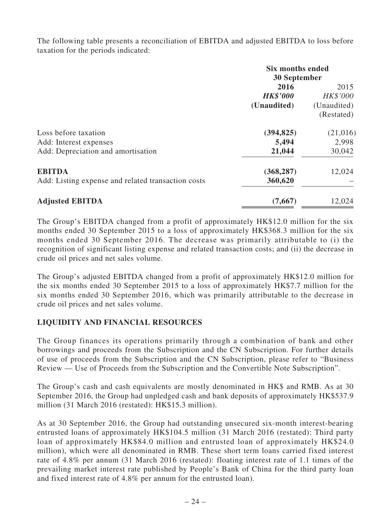The following table presents a reconciliation of EBITDA and adjusted EBITDA to loss before taxation for the periods indicated:

|                                                    | <b>Six months ended</b><br><b>30 September</b> |             |  |
|----------------------------------------------------|------------------------------------------------|-------------|--|
|                                                    | 2016                                           | 2015        |  |
|                                                    | <b>HK\$'000</b>                                | HK\$'000    |  |
|                                                    | (Unaudited)                                    | (Unaudited) |  |
|                                                    |                                                | (Restated)  |  |
| Loss before taxation                               | (394, 825)                                     | (21,016)    |  |
| Add: Interest expenses                             | 5,494                                          | 2,998       |  |
| Add: Depreciation and amortisation                 | 21,044                                         | 30,042      |  |
| <b>EBITDA</b>                                      | (368, 287)                                     | 12,024      |  |
| Add: Listing expense and related transaction costs | 360,620                                        |             |  |
| <b>Adjusted EBITDA</b>                             | (7,667)                                        | 12,024      |  |

The Group's EBITDA changed from a profit of approximately HK\$12.0 million for the six months ended 30 September 2015 to a loss of approximately HK\$368.3 million for the six months ended 30 September 2016. The decrease was primarily attributable to (i) the recognition of significant listing expense and related transaction costs; and (ii) the decrease in crude oil prices and net sales volume.

The Group's adjusted EBITDA changed from a profit of approximately HK\$12.0 million for the six months ended 30 September 2015 to a loss of approximately HK\$7.7 million for the six months ended 30 September 2016, which was primarily attributable to the decrease in crude oil prices and net sales volume.

### **LIQUIDITY AND FINANCIAL RESOURCES**

The Group finances its operations primarily through a combination of bank and other borrowings and proceeds from the Subscription and the CN Subscription. For further details of use of proceeds from the Subscription and the CN Subscription, please refer to "Business Review — Use of Proceeds from the Subscription and the Convertible Note Subscription".

The Group's cash and cash equivalents are mostly denominated in HK\$ and RMB. As at 30 September 2016, the Group had unpledged cash and bank deposits of approximately HK\$537.9 million (31 March 2016 (restated): HK\$15.3 million).

As at 30 September 2016, the Group had outstanding unsecured six-month interest-bearing entrusted loans of approximately HK\$104.5 million (31 March 2016 (restated): Third party loan of approximately HK\$84.0 million and entrusted loan of approximately HK\$24.0 million), which were all denominated in RMB. These short term loans carried fixed interest rate of 4.8% per annum (31 March 2016 (restated): floating interest rate of 1.1 times of the prevailing market interest rate published by People's Bank of China for the third party loan and fixed interest rate of 4.8% per annum for the entrusted loan).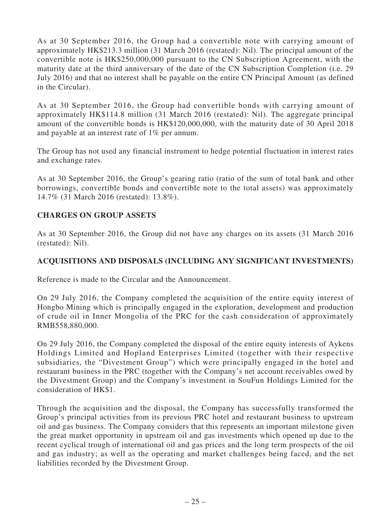As at 30 September 2016, the Group had a convertible note with carrying amount of approximately HK\$213.3 million (31 March 2016 (restated): Nil). The principal amount of the convertible note is HK\$250,000,000 pursuant to the CN Subscription Agreement, with the maturity date at the third anniversary of the date of the CN Subscription Completion (i.e. 29 July 2016) and that no interest shall be payable on the entire CN Principal Amount (as defined in the Circular).

As at 30 September 2016, the Group had convertible bonds with carrying amount of approximately HK\$114.8 million (31 March 2016 (restated): Nil). The aggregate principal amount of the convertible bonds is HK\$120,000,000, with the maturity date of 30 April 2018 and payable at an interest rate of 1% per annum.

The Group has not used any financial instrument to hedge potential fluctuation in interest rates and exchange rates.

As at 30 September 2016, the Group's gearing ratio (ratio of the sum of total bank and other borrowings, convertible bonds and convertible note to the total assets) was approximately 14.7% (31 March 2016 (restated): 13.8%).

### **CHARGES ON GROUP ASSETS**

As at 30 September 2016, the Group did not have any charges on its assets (31 March 2016 (restated): Nil).

### **ACQUISITIONS AND DISPOSALS (INCLUDING ANY SIGNIFICANT INVESTMENTS)**

Reference is made to the Circular and the Announcement.

On 29 July 2016, the Company completed the acquisition of the entire equity interest of Hongbo Mining which is principally engaged in the exploration, development and production of crude oil in Inner Mongolia of the PRC for the cash consideration of approximately RMB558,880,000.

On 29 July 2016, the Company completed the disposal of the entire equity interests of Aykens Holdings Limited and Hopland Enterprises Limited (together with their respective subsidiaries, the "Divestment Group") which were principally engaged in the hotel and restaurant business in the PRC (together with the Company's net account receivables owed by the Divestment Group) and the Company's investment in SouFun Holdings Limited for the consideration of HK\$1.

Through the acquisition and the disposal, the Company has successfully transformed the Group's principal activities from its previous PRC hotel and restaurant business to upstream oil and gas business. The Company considers that this represents an important milestone given the great market opportunity in upstream oil and gas investments which opened up due to the recent cyclical trough of international oil and gas prices and the long term prospects of the oil and gas industry; as well as the operating and market challenges being faced, and the net liabilities recorded by the Divestment Group.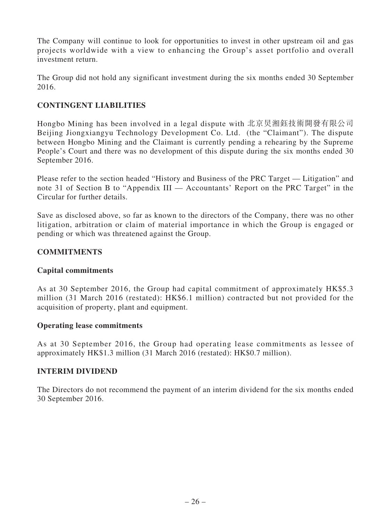The Company will continue to look for opportunities to invest in other upstream oil and gas projects worldwide with a view to enhancing the Group's asset portfolio and overall investment return.

The Group did not hold any significant investment during the six months ended 30 September 2016.

### **CONTINGENT LIABILITIES**

Hongbo Mining has been involved in a legal dispute with 北京炅湘鈺技術開發有限公司 Beijing Jiongxiangyu Technology Development Co. Ltd. (the "Claimant"). The dispute between Hongbo Mining and the Claimant is currently pending a rehearing by the Supreme People's Court and there was no development of this dispute during the six months ended 30 September 2016.

Please refer to the section headed "History and Business of the PRC Target — Litigation" and note 31 of Section B to "Appendix III — Accountants' Report on the PRC Target" in the Circular for further details.

Save as disclosed above, so far as known to the directors of the Company, there was no other litigation, arbitration or claim of material importance in which the Group is engaged or pending or which was threatened against the Group.

### **COMMITMENTS**

### **Capital commitments**

As at 30 September 2016, the Group had capital commitment of approximately HK\$5.3 million (31 March 2016 (restated): HK\$6.1 million) contracted but not provided for the acquisition of property, plant and equipment.

### **Operating lease commitments**

As at 30 September 2016, the Group had operating lease commitments as lessee of approximately HK\$1.3 million (31 March 2016 (restated): HK\$0.7 million).

### **INTERIM DIVIDEND**

The Directors do not recommend the payment of an interim dividend for the six months ended 30 September 2016.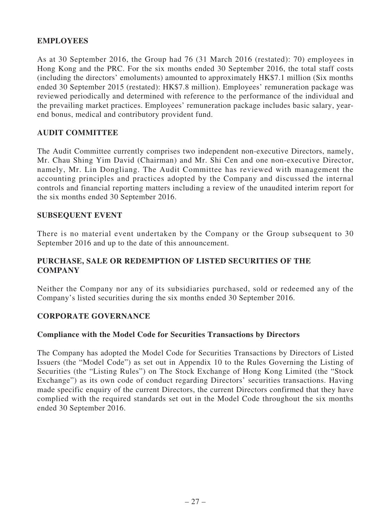### **EMPLOYEES**

As at 30 September 2016, the Group had 76 (31 March 2016 (restated): 70) employees in Hong Kong and the PRC. For the six months ended 30 September 2016, the total staff costs (including the directors' emoluments) amounted to approximately HK\$7.1 million (Six months ended 30 September 2015 (restated): HK\$7.8 million). Employees' remuneration package was reviewed periodically and determined with reference to the performance of the individual and the prevailing market practices. Employees' remuneration package includes basic salary, yearend bonus, medical and contributory provident fund.

#### **AUDIT COMMITTEE**

The Audit Committee currently comprises two independent non-executive Directors, namely, Mr. Chau Shing Yim David (Chairman) and Mr. Shi Cen and one non-executive Director, namely, Mr. Lin Dongliang. The Audit Committee has reviewed with management the accounting principles and practices adopted by the Company and discussed the internal controls and financial reporting matters including a review of the unaudited interim report for the six months ended 30 September 2016.

#### **SUBSEQUENT EVENT**

There is no material event undertaken by the Company or the Group subsequent to 30 September 2016 and up to the date of this announcement.

### **PURCHASE, SALE OR REDEMPTION OF LISTED SECURITIES OF THE COMPANY**

Neither the Company nor any of its subsidiaries purchased, sold or redeemed any of the Company's listed securities during the six months ended 30 September 2016.

#### **CORPORATE GOVERNANCE**

#### **Compliance with the Model Code for Securities Transactions by Directors**

The Company has adopted the Model Code for Securities Transactions by Directors of Listed Issuers (the "Model Code") as set out in Appendix 10 to the Rules Governing the Listing of Securities (the "Listing Rules") on The Stock Exchange of Hong Kong Limited (the "Stock Exchange") as its own code of conduct regarding Directors' securities transactions. Having made specific enquiry of the current Directors, the current Directors confirmed that they have complied with the required standards set out in the Model Code throughout the six months ended 30 September 2016.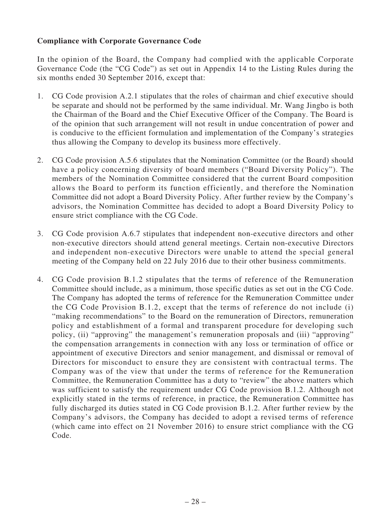### **Compliance with Corporate Governance Code**

In the opinion of the Board, the Company had complied with the applicable Corporate Governance Code (the "CG Code") as set out in Appendix 14 to the Listing Rules during the six months ended 30 September 2016, except that:

- 1. CG Code provision A.2.1 stipulates that the roles of chairman and chief executive should be separate and should not be performed by the same individual. Mr. Wang Jingbo is both the Chairman of the Board and the Chief Executive Officer of the Company. The Board is of the opinion that such arrangement will not result in undue concentration of power and is conducive to the efficient formulation and implementation of the Company's strategies thus allowing the Company to develop its business more effectively.
- 2. CG Code provision A.5.6 stipulates that the Nomination Committee (or the Board) should have a policy concerning diversity of board members ("Board Diversity Policy"). The members of the Nomination Committee considered that the current Board composition allows the Board to perform its function efficiently, and therefore the Nomination Committee did not adopt a Board Diversity Policy. After further review by the Company's advisors, the Nomination Committee has decided to adopt a Board Diversity Policy to ensure strict compliance with the CG Code.
- 3. CG Code provision A.6.7 stipulates that independent non-executive directors and other non-executive directors should attend general meetings. Certain non-executive Directors and independent non-executive Directors were unable to attend the special general meeting of the Company held on 22 July 2016 due to their other business commitments.
- 4. CG Code provision B.1.2 stipulates that the terms of reference of the Remuneration Committee should include, as a minimum, those specific duties as set out in the CG Code. The Company has adopted the terms of reference for the Remuneration Committee under the CG Code Provision B.1.2, except that the terms of reference do not include (i) "making recommendations" to the Board on the remuneration of Directors, remuneration policy and establishment of a formal and transparent procedure for developing such policy, (ii) "approving" the management's remuneration proposals and (iii) "approving" the compensation arrangements in connection with any loss or termination of office or appointment of executive Directors and senior management, and dismissal or removal of Directors for misconduct to ensure they are consistent with contractual terms. The Company was of the view that under the terms of reference for the Remuneration Committee, the Remuneration Committee has a duty to "review" the above matters which was sufficient to satisfy the requirement under CG Code provision B.1.2. Although not explicitly stated in the terms of reference, in practice, the Remuneration Committee has fully discharged its duties stated in CG Code provision B.1.2. After further review by the Company's advisors, the Company has decided to adopt a revised terms of reference (which came into effect on 21 November 2016) to ensure strict compliance with the CG Code.